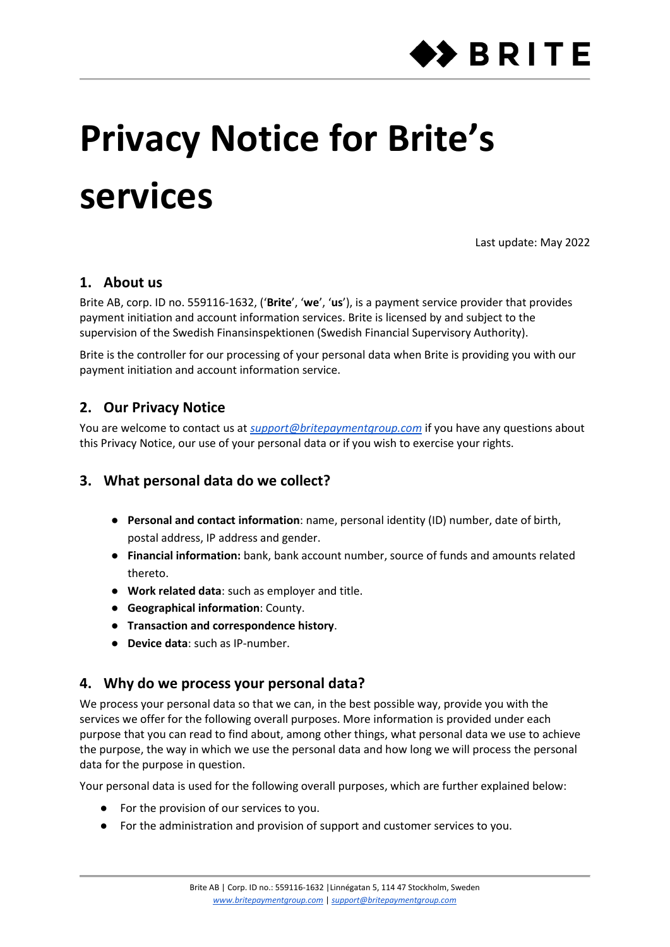

# **Privacy Notice for Brite's services**

Last update: May 2022

# **1. About us**

Brite AB, corp. ID no. 559116-1632, ('**Brite**', '**we**', '**us**'), is a payment service provider that provides payment initiation and account information services. Brite is licensed by and subject to the supervision of the Swedish Finansinspektionen (Swedish Financial Supervisory Authority).

Brite is the controller for our processing of your personal data when Brite is providing you with our payment initiation and account information service.

# **2. Our Privacy Notice**

You are welcome to contact us at *[support@britepaymentgroup.com](mailto:support@britepaymentgroup.com)* if you have any questions about this Privacy Notice, our use of your personal data or if you wish to exercise your rights.

# **3. What personal data do we collect?**

- **Personal and contact information**: name, personal identity (ID) number, date of birth, postal address, IP address and gender.
- **Financial information:** bank, bank account number, source of funds and amounts related thereto.
- **Work related data**: such as employer and title.
- **Geographical information**: County.
- **Transaction and correspondence history**.
- **Device data**: such as IP-number.

# **4. Why do we process your personal data?**

We process your personal data so that we can, in the best possible way, provide you with the services we offer for the following overall purposes. More information is provided under each purpose that you can read to find about, among other things, what personal data we use to achieve the purpose, the way in which we use the personal data and how long we will process the personal data for the purpose in question.

Your personal data is used for the following overall purposes, which are further explained below:

- For the provision of our services to you.
- For the administration and provision of support and customer services to you.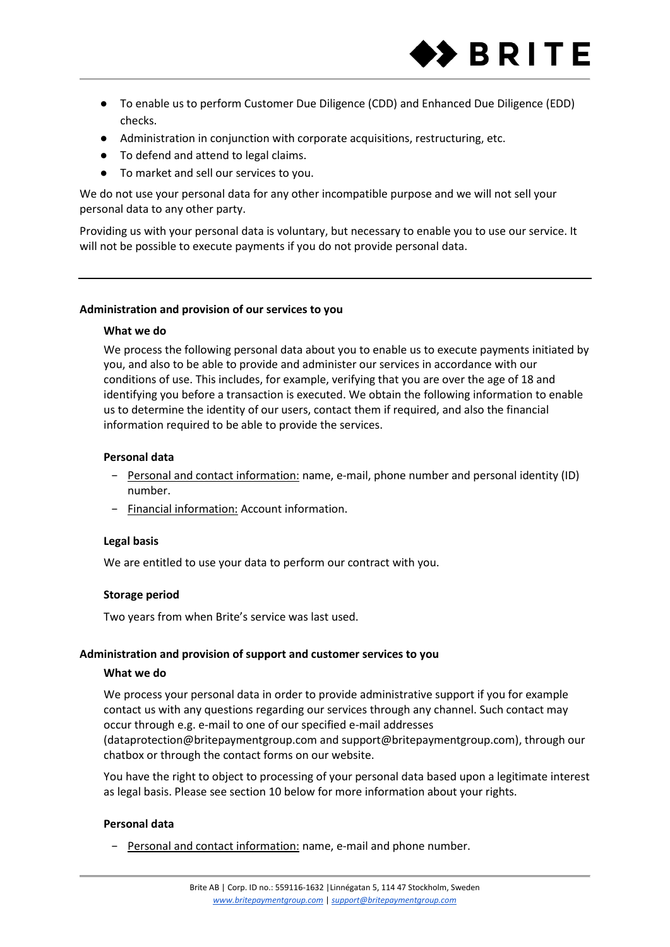

- To enable us to perform Customer Due Diligence (CDD) and Enhanced Due Diligence (EDD) checks.
- Administration in conjunction with corporate acquisitions, restructuring, etc.
- To defend and attend to legal claims.
- To market and sell our services to you.

We do not use your personal data for any other incompatible purpose and we will not sell your personal data to any other party.

Providing us with your personal data is voluntary, but necessary to enable you to use our service. It will not be possible to execute payments if you do not provide personal data.

## **Administration and provision of our services to you**

## **What we do**

We process the following personal data about you to enable us to execute payments initiated by you, and also to be able to provide and administer our services in accordance with our conditions of use. This includes, for example, verifying that you are over the age of 18 and identifying you before a transaction is executed. We obtain the following information to enable us to determine the identity of our users, contact them if required, and also the financial information required to be able to provide the services.

## **Personal data**

- − Personal and contact information: name, e-mail, phone number and personal identity (ID) number.
- − Financial information: Account information.

## **Legal basis**

We are entitled to use your data to perform our contract with you.

# **Storage period**

Two years from when Brite's service was last used.

#### **Administration and provision of support and customer services to you**

#### **What we do**

We process your personal data in order to provide administrative support if you for example contact us with any questions regarding our services through any channel. Such contact may occur through e.g. e-mail to one of our specified e-mail addresses (dataprotection@britepaymentgroup.com and support@britepaymentgroup.com), through our chatbox or through the contact forms on our website.

You have the right to object to processing of your personal data based upon a legitimate interest as legal basis. Please see section 10 below for more information about your rights.

#### **Personal data**

− Personal and contact information: name, e-mail and phone number.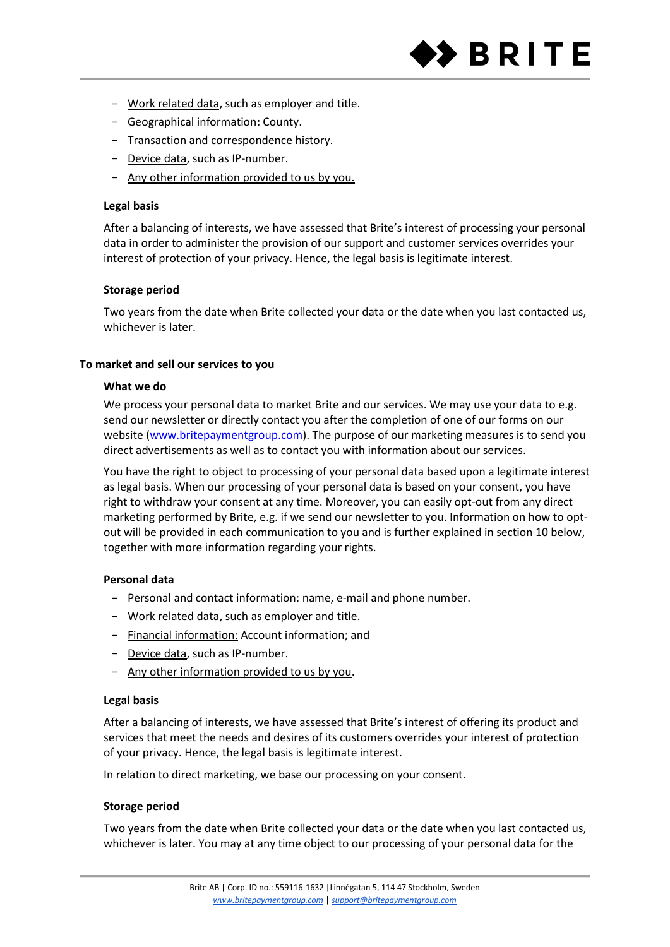

- − Work related data, such as employer and title.
- − Geographical information**:** County.
- − Transaction and correspondence history.
- − Device data, such as IP-number.
- − Any other information provided to us by you.

## **Legal basis**

After a balancing of interests, we have assessed that Brite's interest of processing your personal data in order to administer the provision of our support and customer services overrides your interest of protection of your privacy. Hence, the legal basis is legitimate interest.

## **Storage period**

Two years from the date when Brite collected your data or the date when you last contacted us, whichever is later.

## **To market and sell our services to you**

## **What we do**

We process your personal data to market Brite and our services. We may use your data to e.g. send our newsletter or directly contact you after the completion of one of our forms on our website [\(www.britepaymentgroup.com\)](http://www.britepaymentgroup.com/). The purpose of our marketing measures is to send you direct advertisements as well as to contact you with information about our services.

You have the right to object to processing of your personal data based upon a legitimate interest as legal basis. When our processing of your personal data is based on your consent, you have right to withdraw your consent at any time. Moreover, you can easily opt-out from any direct marketing performed by Brite, e.g. if we send our newsletter to you. Information on how to optout will be provided in each communication to you and is further explained in section 10 below, together with more information regarding your rights.

# **Personal data**

- − Personal and contact information: name, e-mail and phone number.
- − Work related data, such as employer and title.
- − Financial information: Account information; and
- − Device data, such as IP-number.
- − Any other information provided to us by you.

# **Legal basis**

After a balancing of interests, we have assessed that Brite's interest of offering its product and services that meet the needs and desires of its customers overrides your interest of protection of your privacy. Hence, the legal basis is legitimate interest.

In relation to direct marketing, we base our processing on your consent.

# **Storage period**

Two years from the date when Brite collected your data or the date when you last contacted us, whichever is later. You may at any time object to our processing of your personal data for the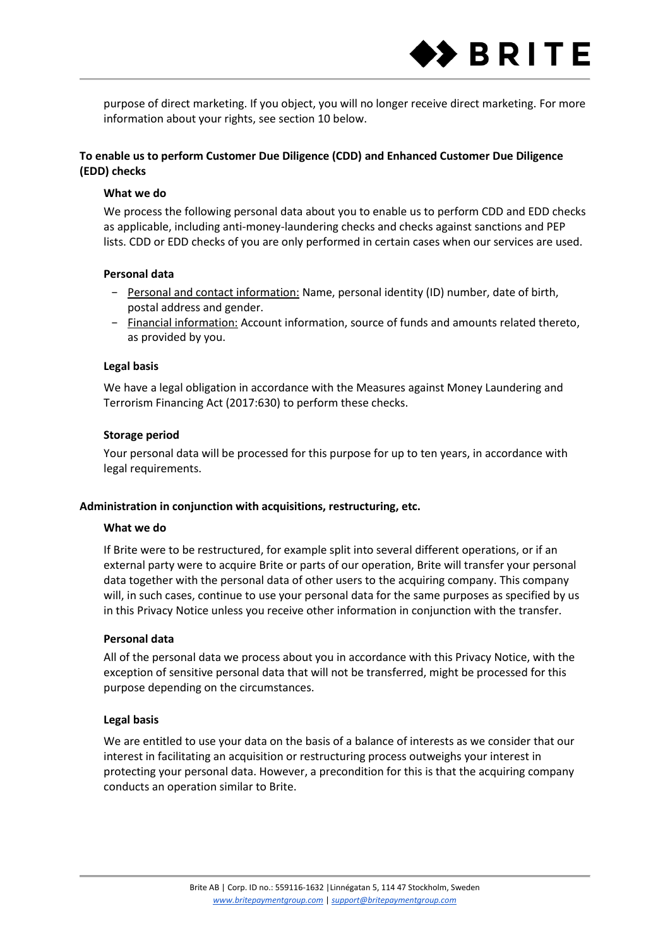

purpose of direct marketing. If you object, you will no longer receive direct marketing. For more information about your rights, see section 10 below.

# **To enable us to perform Customer Due Diligence (CDD) and Enhanced Customer Due Diligence (EDD) checks**

## **What we do**

We process the following personal data about you to enable us to perform CDD and EDD checks as applicable, including anti-money-laundering checks and checks against sanctions and PEP lists. CDD or EDD checks of you are only performed in certain cases when our services are used.

#### **Personal data**

- − Personal and contact information: Name, personal identity (ID) number, date of birth, postal address and gender.
- − Financial information: Account information, source of funds and amounts related thereto, as provided by you.

## **Legal basis**

We have a legal obligation in accordance with the Measures against Money Laundering and Terrorism Financing Act (2017:630) to perform these checks.

## **Storage period**

Your personal data will be processed for this purpose for up to ten years, in accordance with legal requirements.

#### **Administration in conjunction with acquisitions, restructuring, etc.**

#### **What we do**

If Brite were to be restructured, for example split into several different operations, or if an external party were to acquire Brite or parts of our operation, Brite will transfer your personal data together with the personal data of other users to the acquiring company. This company will, in such cases, continue to use your personal data for the same purposes as specified by us in this Privacy Notice unless you receive other information in conjunction with the transfer.

#### **Personal data**

All of the personal data we process about you in accordance with this Privacy Notice, with the exception of sensitive personal data that will not be transferred, might be processed for this purpose depending on the circumstances.

# **Legal basis**

We are entitled to use your data on the basis of a balance of interests as we consider that our interest in facilitating an acquisition or restructuring process outweighs your interest in protecting your personal data. However, a precondition for this is that the acquiring company conducts an operation similar to Brite.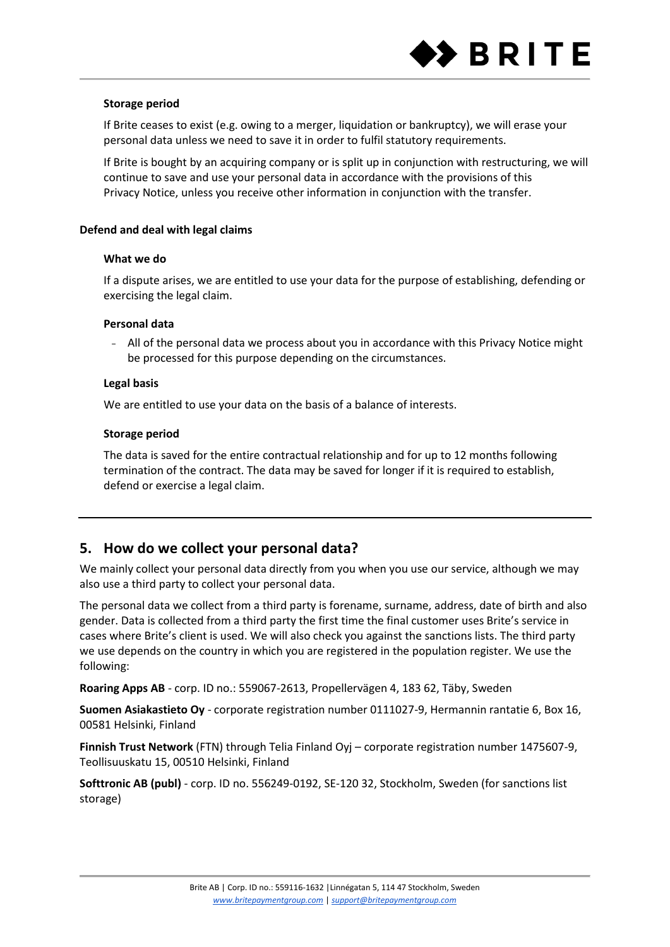

## **Storage period**

If Brite ceases to exist (e.g. owing to a merger, liquidation or bankruptcy), we will erase your personal data unless we need to save it in order to fulfil statutory requirements.

If Brite is bought by an acquiring company or is split up in conjunction with restructuring, we will continue to save and use your personal data in accordance with the provisions of this Privacy Notice, unless you receive other information in conjunction with the transfer.

## **Defend and deal with legal claims**

#### **What we do**

If a dispute arises, we are entitled to use your data for the purpose of establishing, defending or exercising the legal claim.

## **Personal data**

− All of the personal data we process about you in accordance with this Privacy Notice might be processed for this purpose depending on the circumstances.

## **Legal basis**

We are entitled to use your data on the basis of a balance of interests.

## **Storage period**

The data is saved for the entire contractual relationship and for up to 12 months following termination of the contract. The data may be saved for longer if it is required to establish, defend or exercise a legal claim.

# **5. How do we collect your personal data?**

We mainly collect your personal data directly from you when you use our service, although we may also use a third party to collect your personal data.

The personal data we collect from a third party is forename, surname, address, date of birth and also gender. Data is collected from a third party the first time the final customer uses Brite's service in cases where Brite's client is used. We will also check you against the sanctions lists. The third party we use depends on the country in which you are registered in the population register. We use the following:

**Roaring Apps AB** - corp. ID no.: 559067-2613, Propellervägen 4, 183 62, Täby, Sweden

**Suomen Asiakastieto Oy** - corporate registration number 0111027-9, Hermannin rantatie 6, Box 16, 00581 Helsinki, Finland

**Finnish Trust Network** (FTN) through Telia Finland Oyj – corporate registration number 1475607-9, Teollisuuskatu 15, 00510 Helsinki, Finland

**Softtronic AB (publ)** - corp. ID no. 556249-0192, SE-120 32, Stockholm, Sweden (for sanctions list storage)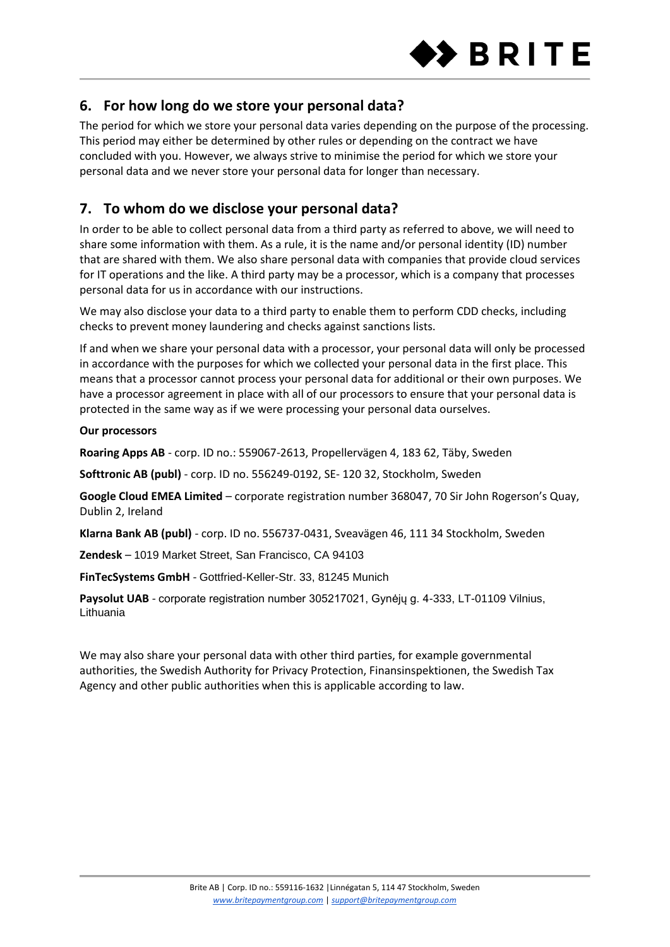

# **6. For how long do we store your personal data?**

The period for which we store your personal data varies depending on the purpose of the processing. This period may either be determined by other rules or depending on the contract we have concluded with you. However, we always strive to minimise the period for which we store your personal data and we never store your personal data for longer than necessary.

# **7. To whom do we disclose your personal data?**

In order to be able to collect personal data from a third party as referred to above, we will need to share some information with them. As a rule, it is the name and/or personal identity (ID) number that are shared with them. We also share personal data with companies that provide cloud services for IT operations and the like. A third party may be a processor, which is a company that processes personal data for us in accordance with our instructions.

We may also disclose your data to a third party to enable them to perform CDD checks, including checks to prevent money laundering and checks against sanctions lists.

If and when we share your personal data with a processor, your personal data will only be processed in accordance with the purposes for which we collected your personal data in the first place. This means that a processor cannot process your personal data for additional or their own purposes. We have a processor agreement in place with all of our processors to ensure that your personal data is protected in the same way as if we were processing your personal data ourselves.

# **Our processors**

**Roaring Apps AB** - corp. ID no.: 559067-2613, Propellervägen 4, 183 62, Täby, Sweden

**Softtronic AB (publ)** - corp. ID no. 556249-0192, SE- 120 32, Stockholm, Sweden

**Google Cloud EMEA Limited** – corporate registration number 368047, 70 Sir John Rogerson's Quay, Dublin 2, Ireland

**Klarna Bank AB (publ)** - corp. ID no. 556737-0431, Sveavägen 46, 111 34 Stockholm, Sweden

**Zendesk** – 1019 Market Street, San Francisco, CA 94103

**FinTecSystems GmbH** - Gottfried-Keller-Str. 33, 81245 Munich

Paysolut UAB - corporate registration number 305217021, Gynėju g. 4-333, LT-01109 Vilnius, Lithuania

We may also share your personal data with other third parties, for example governmental authorities, the Swedish Authority for Privacy Protection, Finansinspektionen, the Swedish Tax Agency and other public authorities when this is applicable according to law.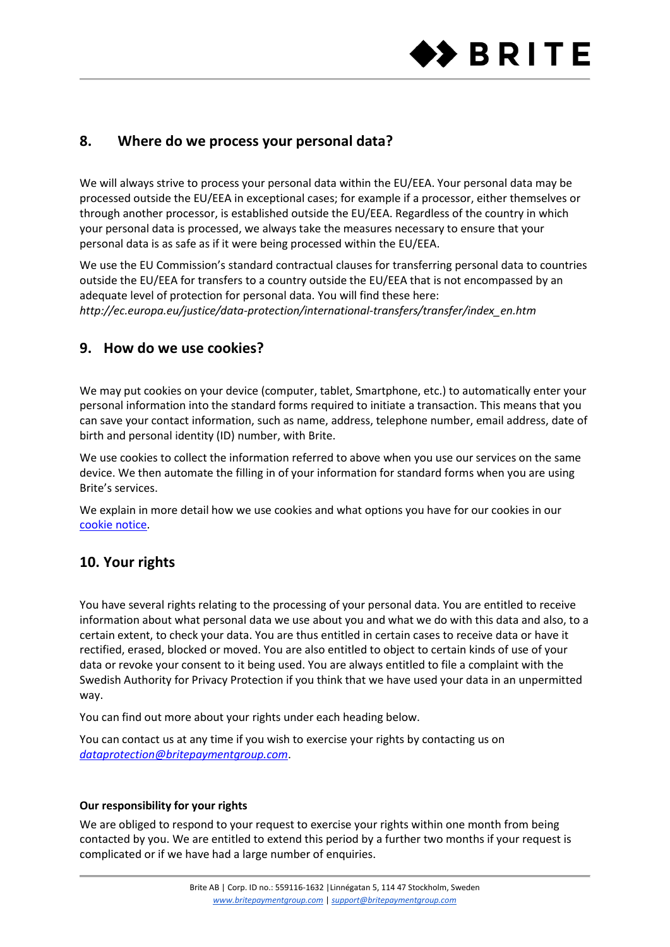

# **8. Where do we process your personal data?**

We will always strive to process your personal data within the EU/EEA. Your personal data may be processed outside the EU/EEA in exceptional cases; for example if a processor, either themselves or through another processor, is established outside the EU/EEA. Regardless of the country in which your personal data is processed, we always take the measures necessary to ensure that your personal data is as safe as if it were being processed within the EU/EEA.

We use the EU Commission's standard contractual clauses for transferring personal data to countries outside the EU/EEA for transfers to a country outside the EU/EEA that is not encompassed by an adequate level of protection for personal data. You will find these here: *http://ec.europa.eu/justice/data-protection/international-transfers/transfer/index\_en.htm*

# **9. How do we use cookies?**

We may put cookies on your device (computer, tablet, Smartphone, etc.) to automatically enter your personal information into the standard forms required to initiate a transaction. This means that you can save your contact information, such as name, address, telephone number, email address, date of birth and personal identity (ID) number, with Brite.

We use cookies to collect the information referred to above when you use our services on the same device. We then automate the filling in of your information for standard forms when you are using Brite's services.

We explain in more detail how we use cookies and what options you have for our cookies in our cookie notice.

# **10. Your rights**

You have several rights relating to the processing of your personal data. You are entitled to receive information about what personal data we use about you and what we do with this data and also, to a certain extent, to check your data. You are thus entitled in certain cases to receive data or have it rectified, erased, blocked or moved. You are also entitled to object to certain kinds of use of your data or revoke your consent to it being used. You are always entitled to file a complaint with the Swedish Authority for Privacy Protection if you think that we have used your data in an unpermitted way.

You can find out more about your rights under each heading below.

You can contact us at any time if you wish to exercise your rights by contacting us on *[dataprotection@britepaymentgroup.com](mailto:dataprotection@britepaymentgroup.com)*.

# **Our responsibility for your rights**

We are obliged to respond to your request to exercise your rights within one month from being contacted by you. We are entitled to extend this period by a further two months if your request is complicated or if we have had a large number of enquiries.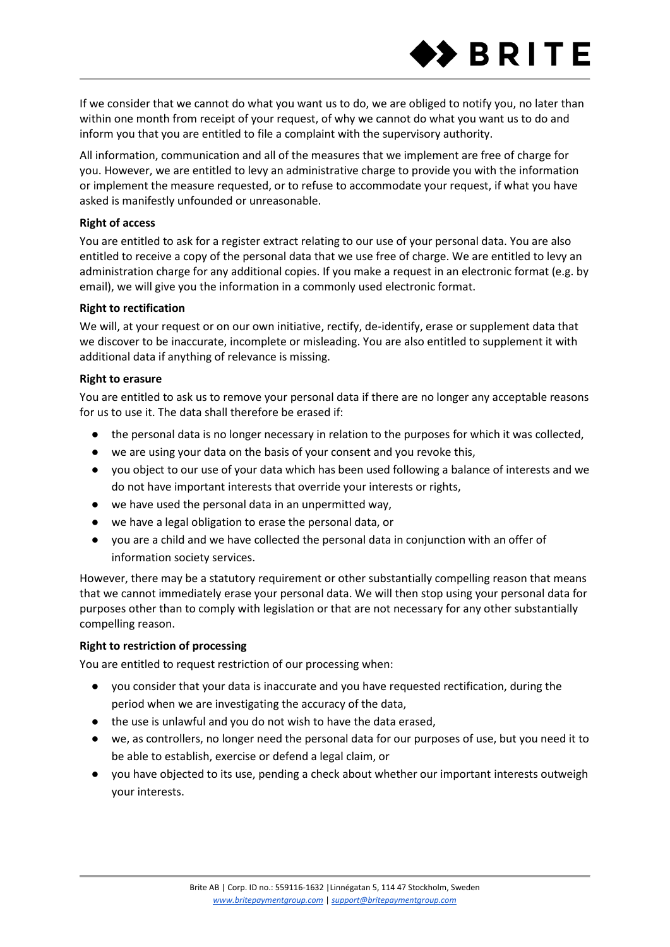

If we consider that we cannot do what you want us to do, we are obliged to notify you, no later than within one month from receipt of your request, of why we cannot do what you want us to do and inform you that you are entitled to file a complaint with the supervisory authority.

All information, communication and all of the measures that we implement are free of charge for you. However, we are entitled to levy an administrative charge to provide you with the information or implement the measure requested, or to refuse to accommodate your request, if what you have asked is manifestly unfounded or unreasonable.

## **Right of access**

You are entitled to ask for a register extract relating to our use of your personal data. You are also entitled to receive a copy of the personal data that we use free of charge. We are entitled to levy an administration charge for any additional copies. If you make a request in an electronic format (e.g. by email), we will give you the information in a commonly used electronic format.

## **Right to rectification**

We will, at your request or on our own initiative, rectify, de-identify, erase or supplement data that we discover to be inaccurate, incomplete or misleading. You are also entitled to supplement it with additional data if anything of relevance is missing.

## **Right to erasure**

You are entitled to ask us to remove your personal data if there are no longer any acceptable reasons for us to use it. The data shall therefore be erased if:

- the personal data is no longer necessary in relation to the purposes for which it was collected,
- we are using your data on the basis of your consent and you revoke this,
- you object to our use of your data which has been used following a balance of interests and we do not have important interests that override your interests or rights,
- we have used the personal data in an unpermitted way.
- we have a legal obligation to erase the personal data, or
- you are a child and we have collected the personal data in conjunction with an offer of information society services.

However, there may be a statutory requirement or other substantially compelling reason that means that we cannot immediately erase your personal data. We will then stop using your personal data for purposes other than to comply with legislation or that are not necessary for any other substantially compelling reason.

# **Right to restriction of processing**

You are entitled to request restriction of our processing when:

- you consider that your data is inaccurate and you have requested rectification, during the period when we are investigating the accuracy of the data,
- the use is unlawful and you do not wish to have the data erased,
- we, as controllers, no longer need the personal data for our purposes of use, but you need it to be able to establish, exercise or defend a legal claim, or
- you have objected to its use, pending a check about whether our important interests outweigh your interests.